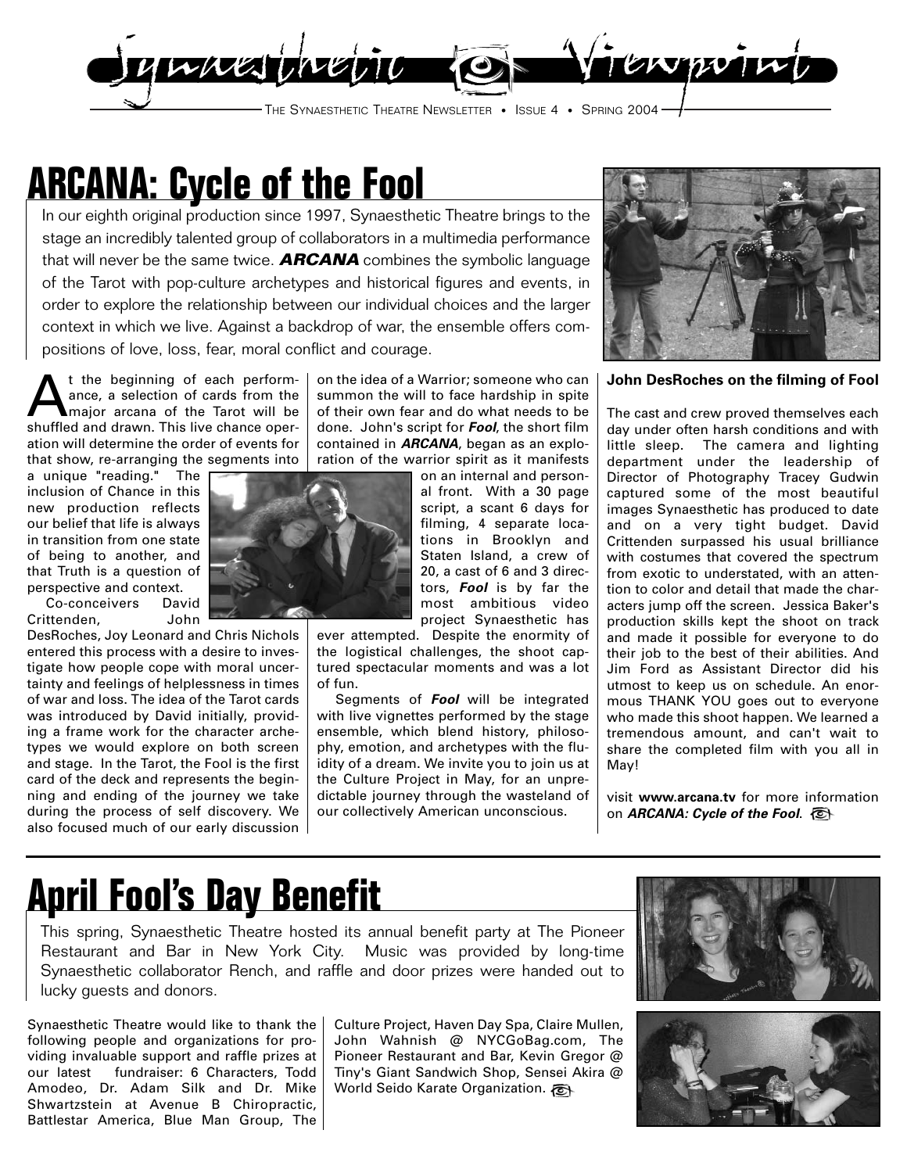

## **ARCANA: Cycle of the Fool**

In our eighth original production since 1997, Synaesthetic Theatre brings to the stage an incredibly talented group of collaborators in a multimedia performance that will never be the same twice. **ARCANA** combines the symbolic language of the Tarot with pop-culture archetypes and historical figures and events, in order to explore the relationship between our individual choices and the larger context in which we live. Against a backdrop of war, the ensemble offers compositions of love, loss, fear, moral conflict and courage.

t the beginning of each performance, a selection of cards from the major arcana of the Tarot will be shuffled and drawn. This live chance operation will determine the order of events for that show, re-arranging the segments into

a unique "reading." The inclusion of Chance in this new production reflects our belief that life is always in transition from one state of being to another, and that Truth is a question of perspective and context.

Co-conceivers David Crittenden, John

DesRoches, Joy Leonard and Chris Nichols entered this process with a desire to investigate how people cope with moral uncertainty and feelings of helplessness in times of war and loss. The idea of the Tarot cards was introduced by David initially, providing a frame work for the character archetypes we would explore on both screen and stage. In the Tarot, the Fool is the first card of the deck and represents the beginning and ending of the journey we take during the process of self discovery. We also focused much of our early discussion

on the idea of a Warrior; someone who can summon the will to face hardship in spite of their own fear and do what needs to be done. John's script for **Fool**, the short film contained in **ARCANA**, began as an exploration of the warrior spirit as it manifests

on an internal and personal front. With a 30 page script, a scant 6 days for filming, 4 separate locations in Brooklyn and Staten Island, a crew of 20, a cast of 6 and 3 directors, **Fool** is by far the most ambitious video project Synaesthetic has

ever attempted. Despite the enormity of the logistical challenges, the shoot captured spectacular moments and was a lot of fun.

Segments of **Fool** will be integrated with live vignettes performed by the stage ensemble, which blend history, philosophy, emotion, and archetypes with the fluidity of a dream. We invite you to join us at the Culture Project in May, for an unpredictable journey through the wasteland of our collectively American unconscious.



**John DesRoches on the filming of Fool**

The cast and crew proved themselves each day under often harsh conditions and with little sleep. The camera and lighting department under the leadership of Director of Photography Tracey Gudwin captured some of the most beautiful images Synaesthetic has produced to date and on a very tight budget. David Crittenden surpassed his usual brilliance with costumes that covered the spectrum from exotic to understated, with an attention to color and detail that made the characters jump off the screen. Jessica Baker's production skills kept the shoot on track and made it possible for everyone to do their job to the best of their abilities. And Jim Ford as Assistant Director did his utmost to keep us on schedule. An enormous THANK YOU goes out to everyone who made this shoot happen. We learned a tremendous amount, and can't wait to share the completed film with you all in May!

visit **www.arcana.tv** for more information on **ARCANA: Cycle of the Fool**.

## **April Fool's Day Benefit**

This spring, Synaesthetic Theatre hosted its annual benefit party at The Pioneer Restaurant and Bar in New York City. Music was provided by long-time Synaesthetic collaborator Rench, and raffle and door prizes were handed out to lucky guests and donors.

Synaesthetic Theatre would like to thank the following people and organizations for providing invaluable support and raffle prizes at our latest fundraiser: 6 Characters, Todd Amodeo, Dr. Adam Silk and Dr. Mike Shwartzstein at Avenue B Chiropractic, Battlestar America, Blue Man Group, The

Culture Project, Haven Day Spa, Claire Mullen, John Wahnish @ NYCGoBag.com, The Pioneer Restaurant and Bar, Kevin Gregor @ Tiny's Giant Sandwich Shop, Sensei Akira @ World Seido Karate Organization.



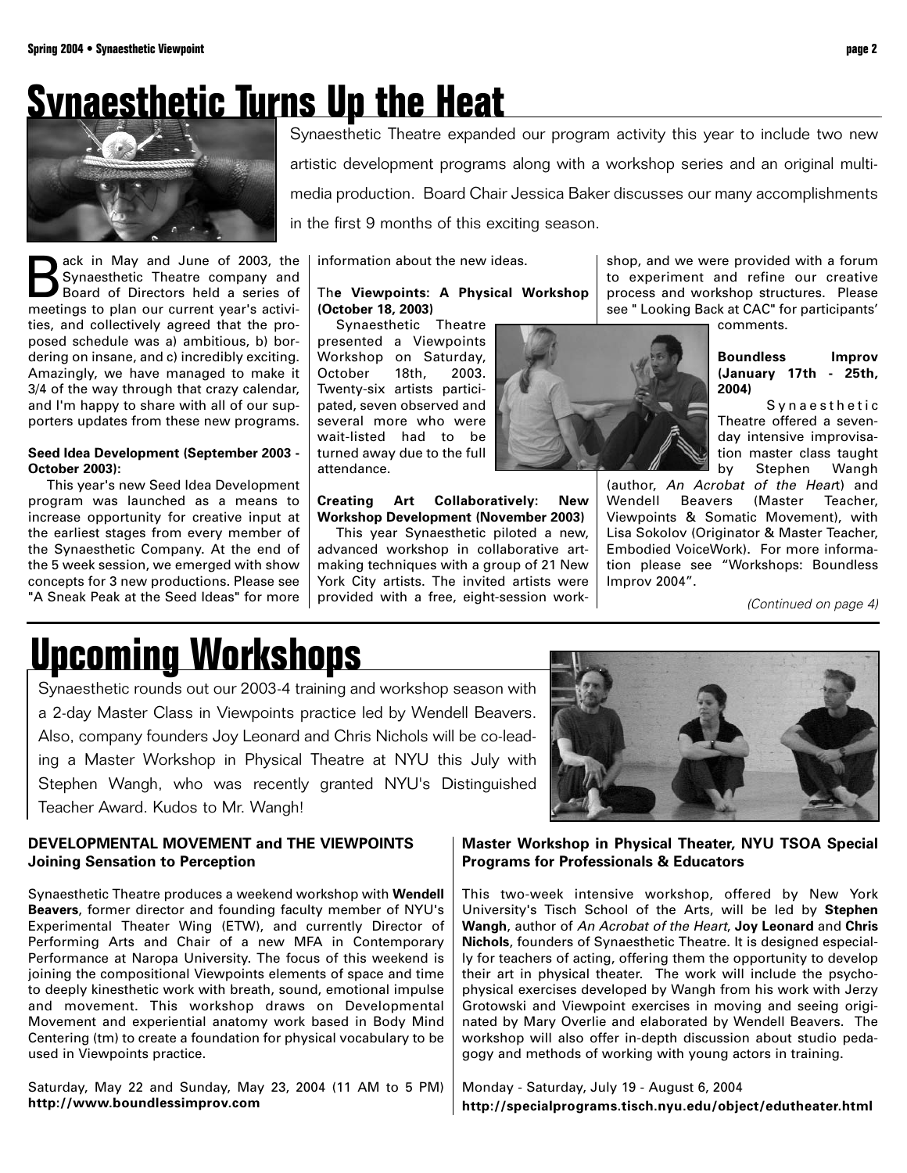## **Synaesthetic Turns Up the Heat**



**Back in May and June of 2003, the**<br> **Board of Directors held a series of**<br> **Respectings to plan our current vear's activi-**Synaesthetic Theatre company and meetings to plan our current year's activities, and collectively agreed that the proposed schedule was a) ambitious, b) bordering on insane, and c) incredibly exciting. Amazingly, we have managed to make it 3/4 of the way through that crazy calendar, and I'm happy to share with all of our supporters updates from these new programs.

### **Seed Idea Development (September 2003 - October 2003):**

This year's new Seed Idea Development program was launched as a means to increase opportunity for creative input at the earliest stages from every member of the Synaesthetic Company. At the end of the 5 week session, we emerged with show concepts for 3 new productions. Please see "A Sneak Peak at the Seed Ideas" for more

Synaesthetic Theatre expanded our program activity this year to include two new artistic development programs along with a workshop series and an original multimedia production. Board Chair Jessica Baker discusses our many accomplishments in the first 9 months of this exciting season.

information about the new ideas.

### Th**e Viewpoints: A Physical Workshop (October 18, 2003)**

Synaesthetic Theatre presented a Viewpoints Workshop on Saturday, October 18th, 2003. Twenty-six artists participated, seven observed and several more who were wait-listed had to be turned away due to the full attendance.

**Creating Art Collaboratively: New Workshop Development (November 2003)** This year Synaesthetic piloted a new,

advanced workshop in collaborative artmaking techniques with a group of 21 New York City artists. The invited artists were provided with a free, eight-session work-

shop, and we were provided with a forum to experiment and refine our creative process and workshop structures. Please see " Looking Back at CAC" for participants'

comments.

**Boundless Improv (January 17th - 25th, 2004)**

Synaesthetic Theatre offered a sevenday intensive improvisation master class taught by Stephen Wangh

(author, An Acrobat of the Heart) and Wendell Beavers (Master Teacher, Viewpoints & Somatic Movement), with Lisa Sokolov (Originator & Master Teacher, Embodied VoiceWork). For more information please see "Workshops: Boundless Improv 2004".

(Continued on page 4)

## **Upcoming Workshops**

Synaesthetic rounds out our 2003-4 training and workshop season with a 2-day Master Class in Viewpoints practice led by Wendell Beavers. Also, company founders Joy Leonard and Chris Nichols will be co-leading a Master Workshop in Physical Theatre at NYU this July with Stephen Wangh, who was recently granted NYU's Distinguished Teacher Award. Kudos to Mr. Wangh!

### **DEVELOPMENTAL MOVEMENT and THE VIEWPOINTS Joining Sensation to Perception**

Synaesthetic Theatre produces a weekend workshop with **Wendell Beavers**, former director and founding faculty member of NYU's Experimental Theater Wing (ETW), and currently Director of Performing Arts and Chair of a new MFA in Contemporary Performance at Naropa University. The focus of this weekend is joining the compositional Viewpoints elements of space and time to deeply kinesthetic work with breath, sound, emotional impulse and movement. This workshop draws on Developmental Movement and experiential anatomy work based in Body Mind Centering (tm) to create a foundation for physical vocabulary to be used in Viewpoints practice.

Saturday, May 22 and Sunday, May 23, 2004 (11 AM to 5 PM) **http://www.boundlessimprov.com**

**Master Workshop in Physical Theater, NYU TSOA Special Programs for Professionals & Educators**

This two-week intensive workshop, offered by New York University's Tisch School of the Arts, will be led by **Stephen Wangh**, author of An Acrobat of the Heart, **Joy Leonard** and **Chris Nichols**, founders of Synaesthetic Theatre. It is designed especially for teachers of acting, offering them the opportunity to develop their art in physical theater. The work will include the psychophysical exercises developed by Wangh from his work with Jerzy Grotowski and Viewpoint exercises in moving and seeing originated by Mary Overlie and elaborated by Wendell Beavers. The workshop will also offer in-depth discussion about studio pedagogy and methods of working with young actors in training.

Monday - Saturday, July 19 - August 6, 2004 **http://specialprograms.tisch.nyu.edu/object/edutheater.html**

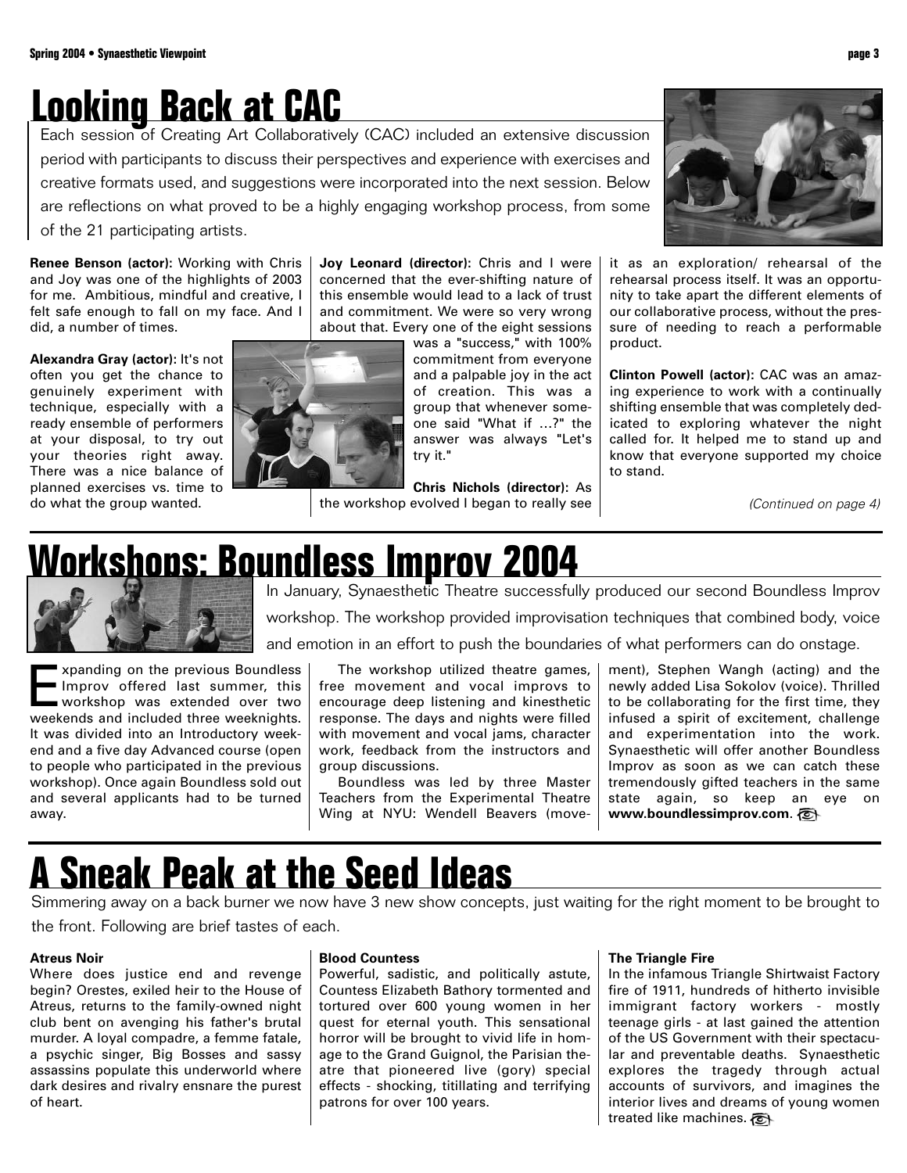## **Looking Back at CAC**

Each session of Creating Art Collaboratively (CAC) included an extensive discussion period with participants to discuss their perspectives and experience with exercises and creative formats used, and suggestions were incorporated into the next session. Below are reflections on what proved to be a highly engaging workshop process, from some of the 21 participating artists.

**Renee Benson (actor):** Working with Chris and Joy was one of the highlights of 2003 for me. Ambitious, mindful and creative, I felt safe enough to fall on my face. And I did, a number of times.

**Alexandra Gray (actor):** It's not often you get the chance to genuinely experiment with technique, especially with a ready ensemble of performers at your disposal, to try out your theories right away. There was a nice balance of planned exercises vs. time to do what the group wanted.



**Joy Leonard (director):** Chris and I were concerned that the ever-shifting nature of this ensemble would lead to a lack of trust and commitment. We were so very wrong about that. Every one of the eight sessions

was a "success," with 100% commitment from everyone and a palpable joy in the act of creation. This was a group that whenever someone said "What if …?" the answer was always "Let's try it."

**Chris Nichols (director):** As the workshop evolved I began to really see



it as an exploration/ rehearsal of the rehearsal process itself. It was an opportunity to take apart the different elements of our collaborative process, without the pressure of needing to reach a performable product.

**Clinton Powell (actor):** CAC was an amazing experience to work with a continually shifting ensemble that was completely dedicated to exploring whatever the night called for. It helped me to stand up and know that everyone supported my choice to stand.

(Continued on page 4)

## **Workshops: Boundless Improv 2004**<br>In January, Synaesthetic Theatre successfully produced our second Boundless Improv



workshop. The workshop provided improvisation techniques that combined body, voice

and emotion in an effort to push the boundaries of what performers can do onstage.

Expanding on the previous Boundless<br>
Improv offered last summer, this<br>
workshop was extended over two<br>
weekends and included three weeknights Improv offered last summer, this workshop was extended over two weekends and included three weeknights. It was divided into an Introductory weekend and a five day Advanced course (open to people who participated in the previous workshop). Once again Boundless sold out and several applicants had to be turned away.

The workshop utilized theatre games, free movement and vocal improvs to encourage deep listening and kinesthetic response. The days and nights were filled with movement and vocal jams, character work, feedback from the instructors and group discussions.

Boundless was led by three Master Teachers from the Experimental Theatre Wing at NYU: Wendell Beavers (movement), Stephen Wangh (acting) and the newly added Lisa Sokolov (voice). Thrilled to be collaborating for the first time, they infused a spirit of excitement, challenge and experimentation into the work. Synaesthetic will offer another Boundless Improv as soon as we can catch these tremendously gifted teachers in the same state again, so keep an eye on **www.boundlessimprov.com**.

## **A Sneak Peak at the Seed Ideas**

Simmering away on a back burner we now have 3 new show concepts, just waiting for the right moment to be brought to the front. Following are brief tastes of each.

### **Atreus Noir**

Where does justice end and revenge begin? Orestes, exiled heir to the House of Atreus, returns to the family-owned night club bent on avenging his father's brutal murder. A loyal compadre, a femme fatale, a psychic singer, Big Bosses and sassy assassins populate this underworld where dark desires and rivalry ensnare the purest of heart.

### **Blood Countess**

Powerful, sadistic, and politically astute, Countess Elizabeth Bathory tormented and tortured over 600 young women in her quest for eternal youth. This sensational horror will be brought to vivid life in homage to the Grand Guignol, the Parisian theatre that pioneered live (gory) special effects - shocking, titillating and terrifying patrons for over 100 years.

### **The Triangle Fire**

In the infamous Triangle Shirtwaist Factory fire of 1911, hundreds of hitherto invisible immigrant factory workers - mostly teenage girls - at last gained the attention of the US Government with their spectacular and preventable deaths. Synaesthetic explores the tragedy through actual accounts of survivors, and imagines the interior lives and dreams of young women treated like machines.